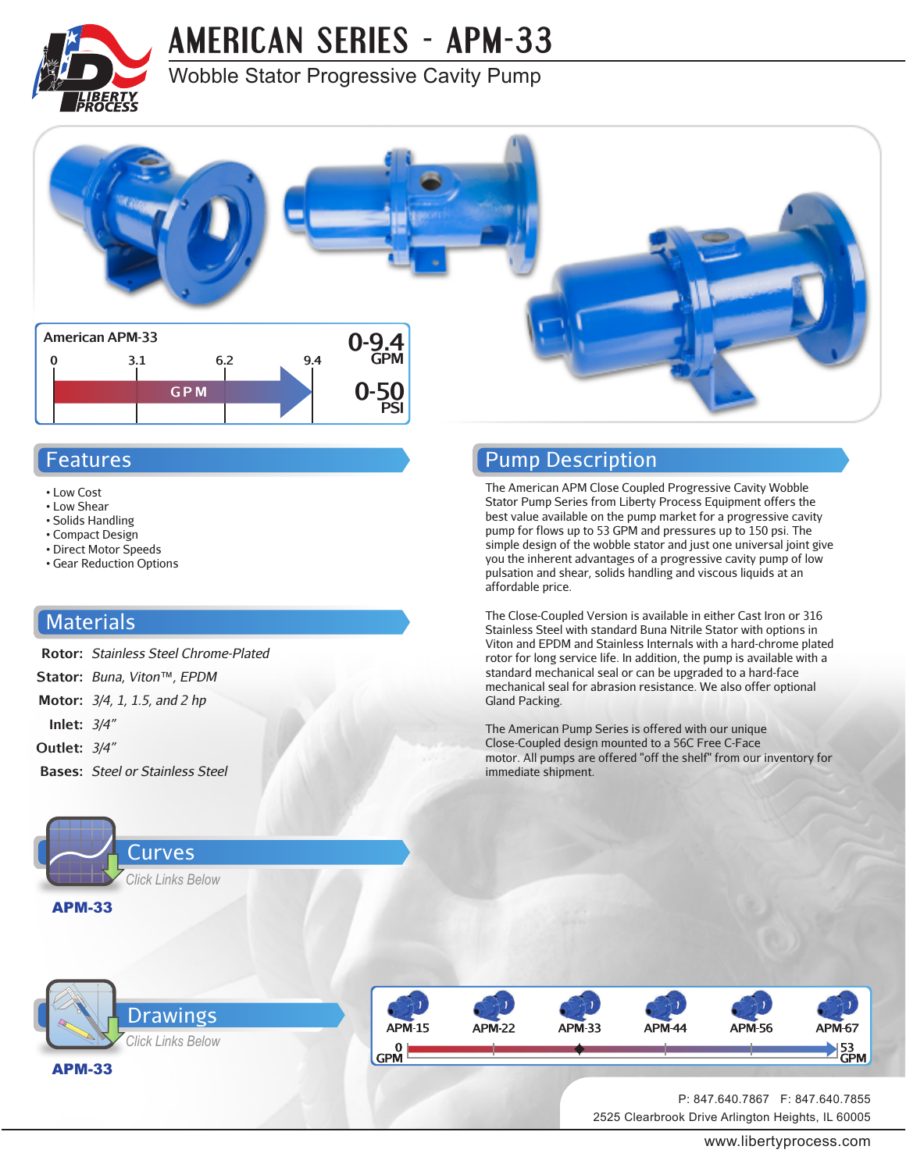

## **[AMERICAN SERIES - APM-33](http://www.libertyprocess.com/american_apm-33_series_pump.html)**

### Wobble Stator Progressive Cavity Pump



#### Features

- Low Cost
- Low Shear
- Solids Handling
- Compact Design
- Direct Motor Speeds • Gear Reduction Options

#### **Materials**

- **Rotor:** *Stainless Steel Chrome-Plated*
- **Stator:** *Buna, Viton™, EPDM*
- **Motor:** *3/4, 1, 1.5, and 2 hp*
- **Inlet:** *3/4"*
- **Outlet:** *3/4"*
- **Bases:** *Steel or Stainless Steel*



#### Pump Description

The American APM Close Coupled Progressive Cavity Wobble Stator Pump Series from Liberty Process Equipment offers the best value available on the pump market for a progressive cavity pump for flows up to 53 GPM and pressures up to 150 psi. The simple design of the wobble stator and just one universal joint give you the inherent advantages of a progressive cavity pump of low pulsation and shear, solids handling and viscous liquids at an affordable price.

The Close-Coupled Version is available in either Cast Iron or 316 Stainless Steel with standard Buna Nitrile Stator with options in Viton and EPDM and Stainless Internals with a hard-chrome plated rotor for long service life. In addition, the pump is available with a standard mechanical seal or can be upgraded to a hard-face mechanical seal for abrasion resistance. We also offer optional Gland Packing.

The American Pump Series is offered with our unique Close-Coupled design mounted to a 56C Free C-Face motor. All pumps are offered "off the shelf" from our inventory for immediate shipment.





2525 Clearbrook Drive Arlington Heights, IL 60005 P: 847.640.7867 F: 847.640.7855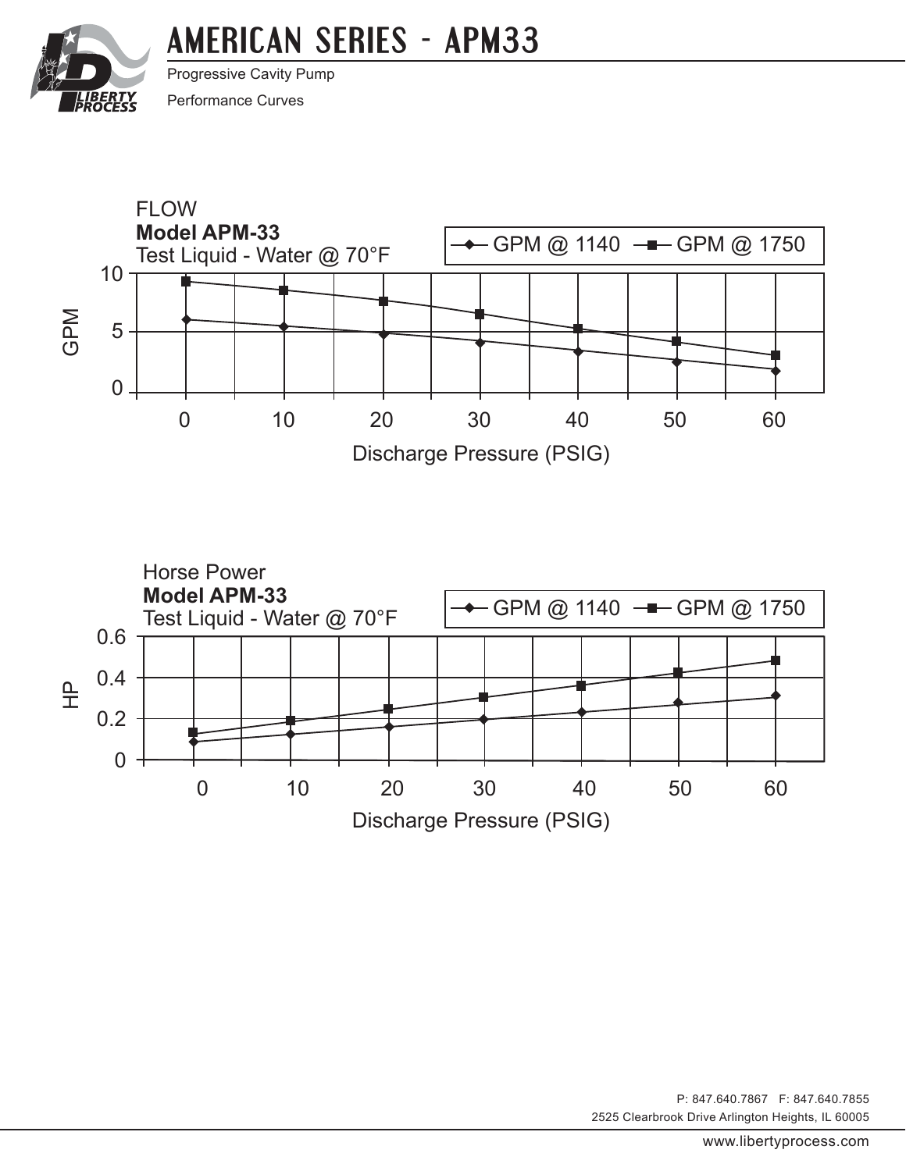# **[AMERICAN SERIES - APM33](http://www.libertyprocess.com/american_apm-33_series_pump.html)**

<span id="page-1-0"></span>

Progressive Cavity Pump

Performance Curves





2525 Clearbrook Drive Arlington Heights, IL 60005 P: 847.640.7867 F: 847.640.7855